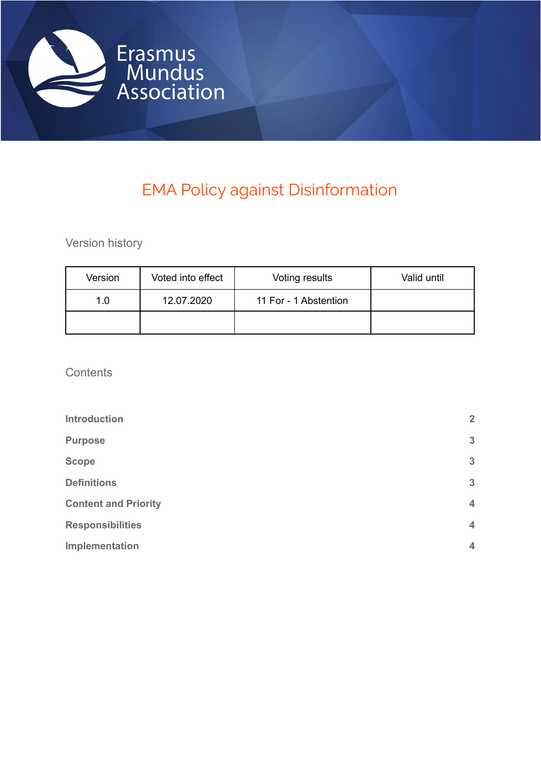

# EMA Policy against Disinformation

Version history

| Version | Voted into effect | Voting results        | Valid until |
|---------|-------------------|-----------------------|-------------|
| 1.0     | 12.07.2020        | 11 For - 1 Abstention |             |
|         |                   |                       |             |

**Contents** 

| <b>Introduction</b>         | $\overline{2}$ |
|-----------------------------|----------------|
| <b>Purpose</b>              | $\mathbf{3}$   |
| <b>Scope</b>                | $\mathbf{3}$   |
| <b>Definitions</b>          | $\mathbf{3}$   |
| <b>Content and Priority</b> | $\overline{4}$ |
| <b>Responsibilities</b>     | $\overline{4}$ |
| Implementation              | $\overline{4}$ |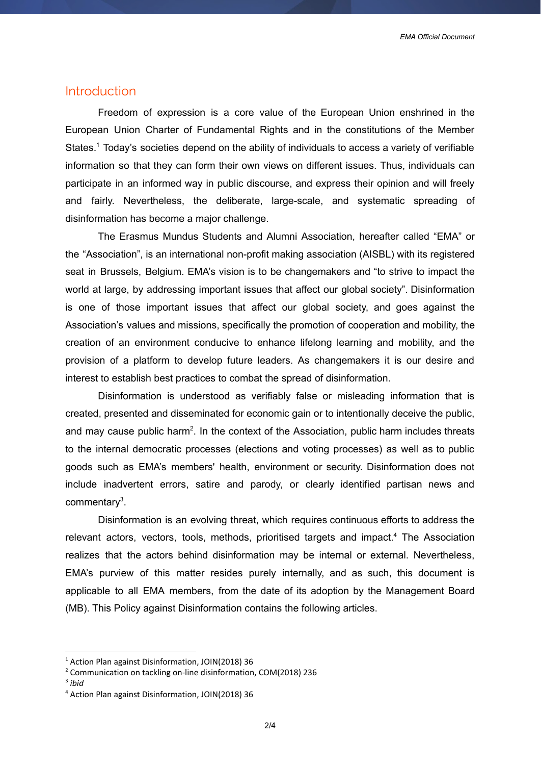#### <span id="page-1-0"></span>Introduction

Freedom of expression is a core value of the European Union enshrined in the European Union Charter of Fundamental Rights and in the constitutions of the Member States.<sup>1</sup> Today's societies depend on the ability of individuals to access a variety of verifiable information so that they can form their own views on different issues. Thus, individuals can participate in an informed way in public discourse, and express their opinion and will freely and fairly. Nevertheless, the deliberate, large-scale, and systematic spreading of disinformation has become a major challenge.

The Erasmus Mundus Students and Alumni Association, hereafter called "EMA" or the "Association", is an international non-profit making association (AISBL) with its registered seat in Brussels, Belgium. EMA's vision is to be changemakers and "to strive to impact the world at large, by addressing important issues that affect our global society". Disinformation is one of those important issues that affect our global society, and goes against the Association's values and missions, specifically the promotion of cooperation and mobility, the creation of an environment conducive to enhance lifelong learning and mobility, and the provision of a platform to develop future leaders. As changemakers it is our desire and interest to establish best practices to combat the spread of disinformation.

Disinformation is understood as verifiably false or misleading information that is created, presented and disseminated for economic gain or to intentionally deceive the public, and may cause public harm<sup>2</sup>. In the context of the Association, public harm includes threats to the internal democratic processes (elections and voting processes) as well as to public goods such as EMA's members' health, environment or security. Disinformation does not include inadvertent errors, satire and parody, or clearly identified partisan news and commentary<sup>3</sup>.

Disinformation is an evolving threat, which requires continuous efforts to address the relevant actors, vectors, tools, methods, prioritised targets and impact.<sup>4</sup> The Association realizes that the actors behind disinformation may be internal or external. Nevertheless, EMA's purview of this matter resides purely internally, and as such, this document is applicable to all EMA members, from the date of its adoption by the Management Board (MB). This Policy against Disinformation contains the following articles.

<sup>&</sup>lt;sup>1</sup> Action Plan against Disinformation, JOIN(2018) 36

<sup>2</sup> Communication on tackling on-line disinformation, COM(2018) 236

<sup>3</sup> *ibid*

<sup>4</sup> Action Plan against Disinformation, JOIN(2018) 36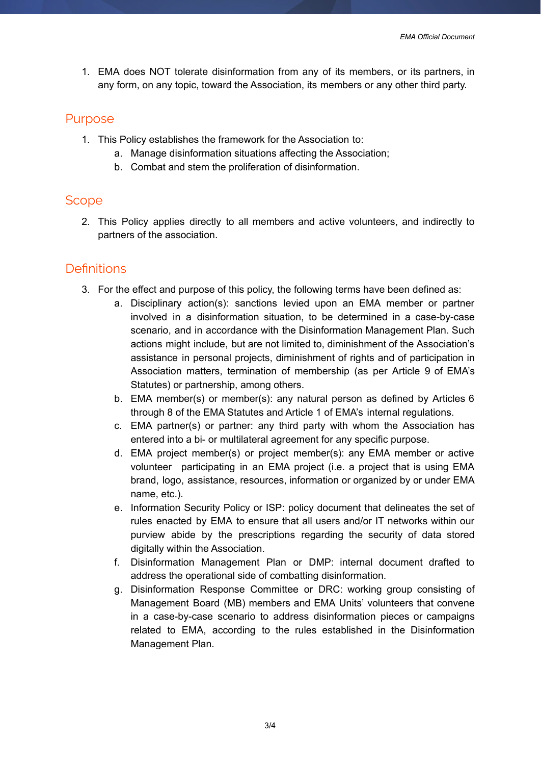1. EMA does NOT tolerate disinformation from any of its members, or its partners, in any form, on any topic, toward the Association, its members or any other third party.

#### <span id="page-2-0"></span>Purpose

- 1. This Policy establishes the framework for the Association to:
	- a. Manage disinformation situations affecting the Association;
	- b. Combat and stem the proliferation of disinformation.

#### <span id="page-2-1"></span>**Scope**

2. This Policy applies directly to all members and active volunteers, and indirectly to partners of the association.

### <span id="page-2-2"></span>**Definitions**

- 3. For the effect and purpose of this policy, the following terms have been defined as:
	- a. Disciplinary action(s): sanctions levied upon an EMA member or partner involved in a disinformation situation, to be determined in a case-by-case scenario, and in accordance with the Disinformation Management Plan. Such actions might include, but are not limited to, diminishment of the Association's assistance in personal projects, diminishment of rights and of participation in Association matters, termination of membership (as per Article 9 of EMA's Statutes) or partnership, among others.
	- b. EMA member(s) or member(s): any natural person as defined by Articles 6 through 8 of the EMA Statutes and Article 1 of EMA's internal regulations.
	- c. EMA partner(s) or partner: any third party with whom the Association has entered into a bi- or multilateral agreement for any specific purpose.
	- d. EMA project member(s) or project member(s): any EMA member or active volunteer participating in an EMA project (i.e. a project that is using EMA brand, logo, assistance, resources, information or organized by or under EMA name, etc.).
	- e. Information Security Policy or ISP: policy document that delineates the set of rules enacted by EMA to ensure that all users and/or IT networks within our purview abide by the prescriptions regarding the security of data stored digitally within the Association.
	- f. Disinformation Management Plan or DMP: internal document drafted to address the operational side of combatting disinformation.
	- g. Disinformation Response Committee or DRC: working group consisting of Management Board (MB) members and EMA Units' volunteers that convene in a case-by-case scenario to address disinformation pieces or campaigns related to EMA, according to the rules established in the Disinformation Management Plan.